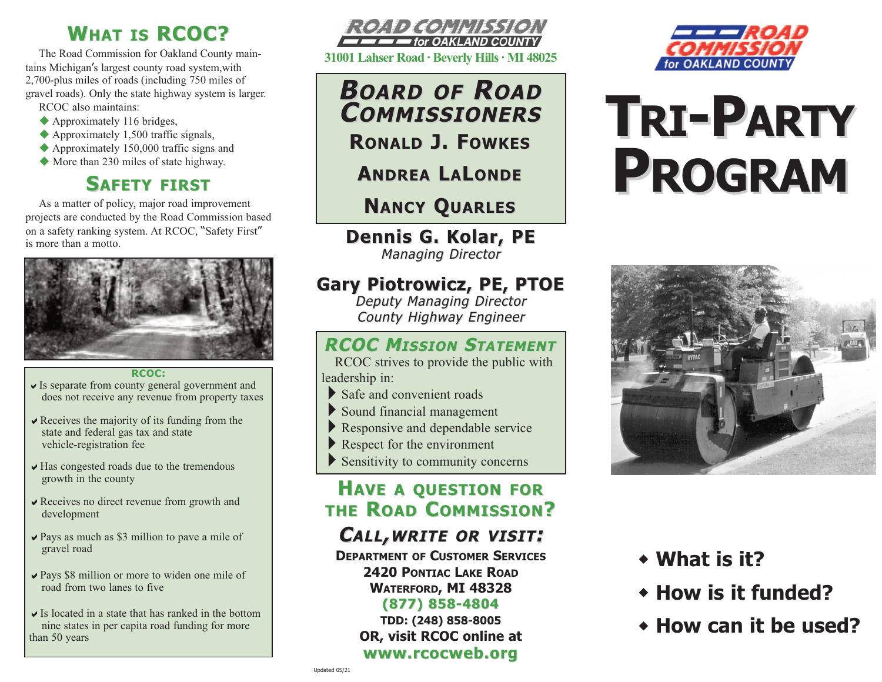# **WHAT IS RCOC?**

The Road Commission for Oakland County maintains Michigan's largest county road system,with 2,700-plus miles of roads (including 750 miles of gravel roads). Only the state highway system is larger. RCOC also maintains:

- $\blacklozenge$  Approximately 116 bridges,
- $\blacklozenge$  Approximately 1,500 traffic signals,
- $\triangle$  Approximately 150,000 traffic signs and
- $\blacklozenge$  More than 230 miles of state highway.

## **SAFETY FIRST**

As a matter of policy, major road improvement projects are conducted by the Road Commission based on a safety ranking system. At RCOC, "Safety First" is more than a motto.



#### **RCOC:**

- $\vee$  Is separate from county general government and does not receive any revenue from property taxes
- $\vee$  Receives the majority of its funding from the state and federal gas tax and state vehicle-registration fee
- $\vee$  Has congested roads due to the tremendous growth in the county
- $\vee$  Receives no direct revenue from growth and development
- $\vee$  Pays as much as \$3 million to pave a mile of gravel road
- $\vee$  Pays \$8 million or more to widen one mile of road from two lanes to five
- $\vee$  Is located in a state that has ranked in the bottom nine states in per capita road funding for more than 50 years



**31001 Lahser Road · Beverly Hills · MI 48025**

**BOARD OF ROAD COMMISSIONERS OMMISSIONERS RONALD J. FOWKES**

**ANDREA L A LONDE**

# **NANCY QUARLES**

**Dennis G. Kolar, PE Dennis G. Kolar, PE Managing Director** 

## **Gary Piotrowicz, PE, PTOE Gary Piotrowicz, PE, PTOE**

Deputy Managing Director County Highway Engineer

### **RCOC MISSION STATEMENT**

RCOC strives to provide the public with leadership in:

- $\blacktriangleright$  Safe and convenient roads
- 4Sound financial management
- $\blacktriangleright$  Responsive and dependable service
- Respect for the environment
- $\blacktriangleright$  Sensitivity to community concerns

## **HAVE A QUESTION FOR THE ROAD COMMISSION?**

## **CALL,WRITE OR VISIT :**

**DEPARTMENT OF CUSTOMER SERVICES 2420 PONTIAC LAKE ROAD WATERFORD, MI 48328** 

#### **(877) 858-4804 (877) 858-4804**

**TDD: (248) 858-8005 OR, visit RCOC online at www.rcocweb.org www.rcocweb.org** 



# **TRI-PARTY PROGRAM**



- <sup>w</sup> **What is it?**
- **\* How is it funded?**
- **★ How can it be used?**